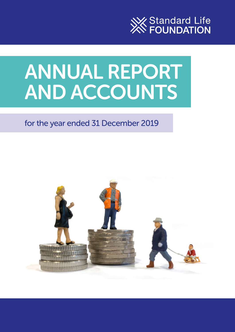

# ANNUAL REPORT AND ACCOUNTS

# for the year ended 31 December 2019

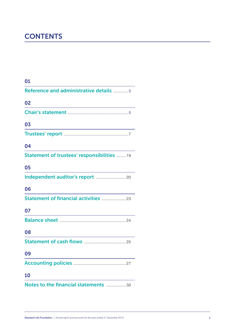# **CONTENTS**

| 01                                                                                                                          |
|-----------------------------------------------------------------------------------------------------------------------------|
| Reference and administrative details  3                                                                                     |
| 02<br><u> 1989 - Johann Stoff, Amerikaansk politiker (</u>                                                                  |
|                                                                                                                             |
| 03<br><u> 1989 - Johann Barn, mars ann an t-Amhain an t-Amhain an t-Amhain an t-Amhain an t-Amhain an t-Amhain an t-Amh</u> |
|                                                                                                                             |
| 04                                                                                                                          |
| Statement of trustees' responsibilities  19                                                                                 |
| 05                                                                                                                          |
|                                                                                                                             |
| 06                                                                                                                          |
| Statement of financial activities  23                                                                                       |
| 07                                                                                                                          |
| the control of the control of the control of the control of the control of the control of                                   |
| 08                                                                                                                          |
|                                                                                                                             |
| 09                                                                                                                          |
|                                                                                                                             |
| 10                                                                                                                          |
| Notes to the financial statements  30                                                                                       |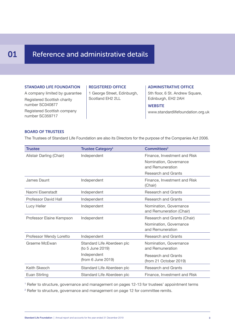## **01** Reference and administrative details

#### STANDARD LIFE FOUNDATION

A company limited by guarantee Registered Scottish charity number SC040877 Registered Scottish company number SC359717

#### REGISTERED OFFICE

1 George Street, Edinburgh, Scotland EH2 2LL

#### ADMINISTRATIVE OFFICE

5th floor, 6 St. Andrew Square, Edinburgh, EH2 2AH

#### **WEBSITE**

www.standardlifefoundation.org.uk

#### BOARD OF TRUSTEES

The Trustees of Standard Life Foundation are also its Directors for the purpose of the Companies Act 2006.

| <b>Trustee</b>              | <b>Trustee Category</b> <sup>1</sup>           | Committees <sup>2</sup>                                                                                  |
|-----------------------------|------------------------------------------------|----------------------------------------------------------------------------------------------------------|
| Alistair Darling (Chair)    | Independent                                    | Finance, Investment and Risk<br>Nomination, Governance<br>and Remuneration<br><b>Research and Grants</b> |
| James Daunt                 | Independent                                    | Finance, Investment and Risk<br>(Chair)                                                                  |
| Naomi Eisenstadt            | Independent                                    | <b>Research and Grants</b>                                                                               |
| <b>Professor David Hall</b> | Independent                                    | <b>Research and Grants</b>                                                                               |
| Lucy Heller                 | Independent                                    | Nomination, Governance<br>and Remuneration (Chair)                                                       |
| Professor Elaine Kempson    | Independent                                    | Research and Grants (Chair)<br>Nomination, Governance<br>and Remuneration                                |
| Professor Wendy Loretto     | Independent                                    | <b>Research and Grants</b>                                                                               |
| Graeme McEwan               | Standard Life Aberdeen plc<br>(to 5 June 2019) | Nomination, Governance<br>and Remuneration                                                               |
|                             | Independent<br>(from 6 June 2019)              | <b>Research and Grants</b><br>(from 21 October 2019)                                                     |
| Keith Skeoch                | Standard Life Aberdeen plc                     | <b>Research and Grants</b>                                                                               |
| Euan Stirling               | Standard Life Aberdeen plc                     | Finance, Investment and Risk                                                                             |

1 Refer to structure, governance and management on pages 12-13 for trustees' appointment terms

<sup>2</sup> Refer to structure, governance and management on page 12 for committee remits.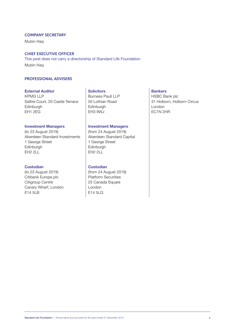#### COMPANY SECRETARY

Mubin Haq

#### CHIEF EXECUTIVE OFFICER

This post does not carry a directorship of Standard Life Foundation. Mubin Haq

#### PROFESSIONAL ADVISERS

#### **External Auditor Solicitors Bankers**

KPMG LLP<br>
Saltire Court, 20 Castle Terrace 50 Lothian Road<br>
50 Lothian Road<br>
131 Holborn, Holborn Circus Saltire Court, 20 Castle Terrace Edinburgh Edinburgh Edinburgh Edinburgh London<br>
EH1 2EG EDIN 21 EH1 2EG EH3 9WJ EC1N 2HR

#### **Investment Managers Investment Managers**

(to 23 August 2019) (from 24 August 2019) 1 George Street 1 George Street Edinburgh Edinburgh Edinburgh Edinburgh Edinburgh Edinburgh Edinburgh Edinburgh Edinburgh Edinburgh Edinburgh Edinburgh Edinburgh Edinburgh Edinburgh Edinburgh Edinburgh Edinburgh Edinburgh Edinburgh Edinburgh Edinburgh Ed

#### **Custodian Custodian**

Citibank Europe plc<br>
Citigroup Centre<br>
Platform Securities<br>
25 Canada Square Canary Wharf, London<br>E14 5LB E14 5LC

Aberdeen Standard Capital EH<sub>2</sub> 2LL

(to 23 August 2019) (from 24 August 2019) 25 Canada Square E14 5LQ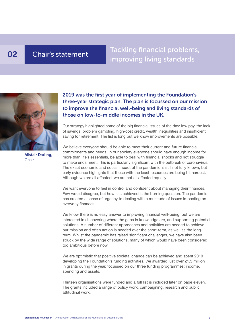# 02 Chair's statement

Tackling financial problems, improving living standards



2019 was the first year of implementing the Foundation's three-year strategic plan. The plan is focussed on our mission to improve the financial well-being and living standards of those on low-to-middle incomes in the UK.

Our strategy highlighted some of the big financial issues of the day: low pay, the lack of savings, problem gambling, high-cost credit, wealth inequalities and insufficient saving for retirement. The list is long but we know improvements are possible.

Alistair Darling, Chair

We believe everyone should be able to meet their current and future financial commitments and needs. In our society everyone should have enough income for more than life's essentials, be able to deal with financial shocks and not struggle to make ends meet. This is particularly significant with the outbreak of coronavirus. The exact economic and social impact of the pandemic is still not fully known, but early evidence highlights that those with the least resources are being hit hardest. Although we are all affected, we are not all affected equally.

We want everyone to feel in control and confident about managing their finances. Few would disagree, but how it is achieved is the burning question. The pandemic has created a sense of urgency to dealing with a multitude of issues impacting on everyday finances.

We know there is no easy answer to improving financial well-being, but we are interested in discovering where the gaps in knowledge are, and supporting potential solutions. A number of different approaches and activities are needed to achieve our mission and often action is needed over the short-term, as well as the longterm. Whilst the pandemic has raised significant challenges, we have also been struck by the wide range of solutions, many of which would have been considered too ambitious before now.

We are optimistic that positive societal change can be achieved and spent 2019 developing the Foundation's funding activities. We awarded just over £1.3 million in grants during the year, focussed on our three funding programmes: income, spending and assets.

Thirteen organisations were funded and a full list is included later on page eleven. The grants included a range of policy work, campaigning, research and public attitudinal work.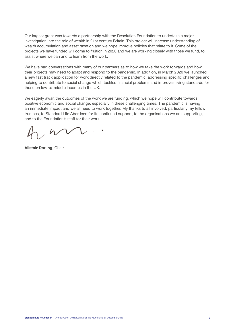Our largest grant was towards a partnership with the Resolution Foundation to undertake a major investigation into the role of wealth in 21st century Britain. This project will increase understanding of wealth accumulation and asset taxation and we hope improve policies that relate to it. Some of the projects we have funded will come to fruition in 2020 and we are working closely with those we fund, to assist where we can and to learn from the work.

We have had conversations with many of our partners as to how we take the work forwards and how their projects may need to adapt and respond to the pandemic. In addition, in March 2020 we launched a new fast track application for work directly related to the pandemic, addressing specific challenges and helping to contribute to social change which tackles financial problems and improves living standards for those on low-to-middle incomes in the UK.

We eagerly await the outcomes of the work we are funding, which we hope will contribute towards positive economic and social change, especially in these challenging times. The pandemic is having an immediate impact and we all need to work together. My thanks to all involved, particularly my fellow trustees, to Standard Life Aberdeen for its continued support, to the organisations we are supporting, and to the Foundation's staff for their work.

………………………………………..

**Alistair Darling**, Chair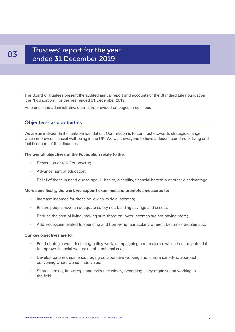### Trustees' report for the year ended 31 December 2019

The Board of Trustees present the audited annual report and accounts of the Standard Life Foundation (the "Foundation") for the year ended 31 December 2019.

Reference and administrative details are provided on pages three – four.

#### Objectives and activities

We are an independent charitable foundation. Our mission is to contribute towards strategic change which improves financial well-being in the UK. We want everyone to have a decent standard of living and feel in control of their finances.

#### **The overall objectives of the Foundation relate to the:**

- Prevention or relief of poverty;
- Advancement of education;
- Relief of those in need due to age, ill-health, disability, financial hardship or other disadvantage.

#### **More specifically, the work we support examines and promotes measures to:**

- Increase incomes for those on low-to-middle incomes;
- Ensure people have an adequate safety net, building savings and assets;
- Reduce the cost of living, making sure those on lower incomes are not paying more;
- Address issues related to spending and borrowing, particularly where it becomes problematic.

#### **Our key objectives are to:**

- Fund strategic work, including policy work, campaigning and research, which has the potential to improve financial well-being at a national scale;
- Develop partnerships, encouraging collaborative working and a more joined-up approach, convening where we can add value;
- Share learning, knowledge and evidence widely, becoming a key organisation working in the field.

### 03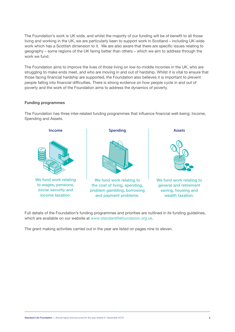The Foundation's work is UK wide, and whilst the majority of our funding will be of benefit to all those living and working in the UK, we are particularly keen to support work in Scotland – including UK-wide work which has a Scottish dimension to it. We are also aware that there are specific issues relating to geography – some regions of the UK faring better than others – which we aim to address through the work we fund.

The Foundation aims to improve the lives of those living on low-to-middle incomes in the UK, who are struggling to make ends meet, and who are moving in and out of hardship. Whilst it is vital to ensure that those facing financial hardship are supported, the Foundation also believes it is important to prevent people falling into financial difficulties. There is strong evidence on how people cycle in and out of poverty and the work of the Foundation aims to address the dynamics of poverty.

#### **Funding programmes**

The Foundation has three inter-related funding programmes that influence financial well-being: Income, Spending and Assets.



Full details of the Foundation's funding programmes and priorities are outlined in its funding guidelines, which are available on our website at www.standardlifefoundation.org.uk.

The grant making activities carried out in the year are listed on pages nine to eleven.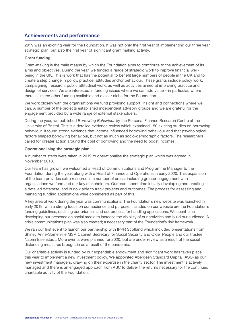### Achievements and performance

2019 was an exciting year for the Foundation. It was not only the first year of implementing our three year strategic plan, but also the first year of significant grant making activity.

#### **Grant funding**

Grant-making is the main means by which the Foundation aims to contribute to the achievement of its aims and objectives. During the year, we funded a range of strategic work to improve financial wellbeing in the UK. This is work that has the potential to benefit large numbers of people in the UK and to create a step change in policy, practice, attitudes and/or behaviour. These grants include policy work, campaigning, research, public attitudinal work, as well as activities aimed at improving practice and design of services. We are interested in funding issues where we can add value – in particular, where there is limited other funding available and a clear niche for the Foundation.

We work closely with the organisations we fund providing support, insight and connections where we can. A number of the projects established independent advisory groups and we are grateful for the engagement provided by a wide range of external stakeholders.

During the year, we published *Borrowing Behaviour* by the Personal Finance Research Centre at the University of Bristol. This is a detailed evidence review which examined 150 existing studies on borrowing behaviour. It found strong evidence that income influenced borrowing behaviour and that psychological factors shaped borrowing behaviour, but not as much as socio-demographic factors. The researchers called for greater action around the cost of borrowing and the need to boost incomes.

#### **Operationalising the strategic plan**

A number of steps were taken in 2019 to operationalise the strategic plan which was agreed in November 2018.

Our team has grown; we welcomed a Head of Communications and Programme Manager to the Foundation during the year, along with a Head of Finance and Operations in early 2020. This expansion of the team provides extra resource in a number of areas, including greater engagement with organisations we fund and our key stakeholders. Our team spent time initially developing and creating a detailed database, and is now able to track projects and outcomes. The process for assessing and managing funding applications were considered as part of this.

A key area of work during the year was communications. The Foundation's new website was launched in early 2019, with a strong focus on our audience and purpose. Included on our website are the Foundation's funding guidelines, outlining our priorities and our process for handling applications. We spent time developing our presence on social media to increase the visibility of our activities and build our audience. A crisis communications plan was also created; a necessary part of the Foundation's risk framework.

We ran our first event to launch our partnership with IPPR Scotland which included presentations from Shirley Anne-Somerville MSP, Cabinet Secretary for Social Security and Older People and our trustee Naomi Eisenstadt. More events were planned for 2020, but are under review as a result of the social distancing measures brought in as a result of the pandemic.

Our charitable activity is funded by our expendable endowment and significant work has taken place this year to implement a new investment policy. We appointed Aberdeen Standard Capital (ASC) as our new investment managers, drawing on their expertise in the charity sector. The investment is actively managed and there is an engaged approach from ASC to deliver the returns necessary for the continued charitable activity of the Foundation.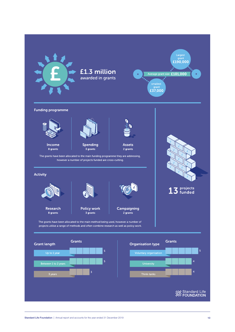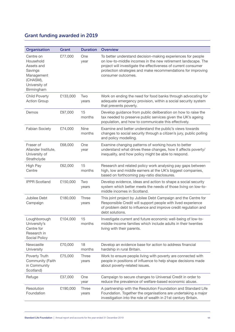### Grant funding awarded in 2019

| Organisation                                                                                             | Grant    | <b>Duration</b>       | <b>Overview</b>                                                                                                                                                                                                                                                                      |
|----------------------------------------------------------------------------------------------------------|----------|-----------------------|--------------------------------------------------------------------------------------------------------------------------------------------------------------------------------------------------------------------------------------------------------------------------------------|
| Centre on<br>Household<br>Assets and<br>Savings<br>Management<br>(CHASM),<br>University of<br>Birmingham | £77,000  | <b>One</b><br>year    | To better understand decision-making experiences for people<br>on low-to-middle incomes in the new retirement landscape. The<br>project will investigate the effectiveness of current consumer<br>protection strategies and make recommendations for improving<br>consumer outcomes. |
| <b>Child Poverty</b><br><b>Action Group</b>                                                              | £133,000 | Two<br>years          | Work on ending the need for food banks through advocating for<br>adequate emergency provision, within a social security system<br>that prevents poverty.                                                                                                                             |
| Demos                                                                                                    | £97,000  | 15<br>months          | Develop guidance from public deliberation on how to raise the<br>tax needed to preserve public services given the UK's ageing<br>population, and how to communicate this effectively.                                                                                                |
| <b>Fabian Society</b>                                                                                    | £74,000  | <b>Nine</b><br>months | Examine and better understand the public's views towards<br>changes to social security through a citizen's jury, public polling<br>and policy modelling.                                                                                                                             |
| Fraser of<br>Allander Institute,<br>University of<br>Strathclyde                                         | £68,000  | One<br>year           | Examine changing patterns of working hours to better<br>understand what drives these changes, how it affects poverty/<br>inequality, and how policy might be able to respond.                                                                                                        |
| High Pay<br>Centre                                                                                       | £62,000  | 15<br>months          | Research and related policy work analysing pay gaps between<br>high, low and middle earners at the UK's biggest companies,<br>based on forthcoming pay-ratio disclosures.                                                                                                            |
| <b>IPPR Scotland</b>                                                                                     | £150,000 | Two<br>years          | Develop evidence, ideas and action to shape a social security<br>system which better meets the needs of those living on low-to-<br>middle incomes in Scotland.                                                                                                                       |
| Jubilee Debt<br>Campaign                                                                                 | £180,000 | Three<br>years        | This joint project by Jubilee Debt Campaign and the Centre for<br>Responsible Credit will support people with lived experience<br>of problem debt to influence and improve credit regulation and<br>debt solutions.                                                                  |
| Loughborough<br>University's<br>Centre for<br>Research in<br>Social Policy                               | £104,000 | 15<br>months          | Investigate current and future economic well-being of low-to-<br>middle-income families which include adults in their twenties<br>living with their parents.                                                                                                                         |
| Newcastle<br>University                                                                                  | £70,000  | 18<br>months          | Develop an evidence base for action to address financial<br>hardship in rural Britain.                                                                                                                                                                                               |
| Poverty Truth<br>Community (Faith<br>in Community<br>Scotland)                                           | £75,000  | Three<br>years        | Work to ensure people living with poverty are connected with<br>people in positions of influence to help shape decisions made<br>about poverty-related issues.                                                                                                                       |
| Refuge                                                                                                   | £37,000  | One<br>year           | Campaign to secure changes to Universal Credit in order to<br>reduce the prevalence of welfare-based economic abuse.                                                                                                                                                                 |
| Resolution<br>Foundation                                                                                 | £190,000 | <b>Three</b><br>years | A partnership with the Resolution Foundation and Standard Life<br>Foundation. Together the organisations are undertaking a major<br>investigation into the role of wealth in 21st century Britain.                                                                                   |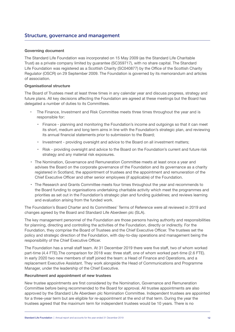#### Structure, governance and management

#### **Governing document**

The Standard Life Foundation was incorporated on 15 May 2009 (as the Standard Life Charitable Trust) as a private company limited by guarantee (SC359717), with no share capital. The Standard Life Foundation was registered as a Scottish Charity (SC040877) by the Office of the Scottish Charity Regulator (OSCR) on 29 September 2009. The Foundation is governed by its memorandum and articles of association.

#### **Organisational structure**

The Board of Trustees meet at least three times in any calendar year and discuss progress, strategy and future plans. All key decisions affecting the Foundation are agreed at these meetings but the Board has delegated a number of duties to its Committees.

- The Finance, Investment and Risk Committee meets three times throughout the year and is responsible for:
	- Finance planning and monitoring the Foundation's income and outgoings so that it can meet its short, medium and long term aims in line with the Foundation's strategic plan, and reviewing its annual financial statements prior to submission to the Board;
	- Investment providing oversight and advice to the Board on all investment matters;
	- Risk providing oversight and advice to the Board on the Foundation's current and future risk strategy and any material risk exposures.
- The Nomination, Governance and Remuneration Committee meets at least once a year and advises the Board on the corporate governance of the Foundation and its governance as a charity registered in Scotland, the appointment of trustees and the appointment and remuneration of the Chief Executive Officer and other senior employees (if applicable) of the Foundation.
- The Research and Grants Committee meets four times throughout the year and recommends to the Board funding to organisations undertaking charitable activity which meet the programmes and priorities as set out in the Foundation's strategic plan and funding guidelines; and reviews learning and evaluation arising from the funded work.

The Foundation's Board Charter and its Committees' Terms of Reference were all reviewed in 2019 and changes agreed by the Board and Standard Life Aberdeen plc (SLA).

The key management personnel of the Foundation are those persons having authority and responsibilities for planning, directing and controlling the activities of the Foundation, directly or indirectly. For the Foundation, they comprise the Board of Trustees and the Chief Executive Officer. The trustees set the policy and strategic direction of the Foundation, with day-to-day operations and management being the responsibility of the Chief Executive Officer.

The Foundation has a small staff team. At 31 December 2019 there were five staff, two of whom worked part-time (4.4 FTE). The comparison for 2018 was: three staff, one of whom worked part-time (2.6 FTE). In early 2020 two new members of staff joined the team: a Head of Finance and Operations, and a replacement Executive Assistant. They work alongside the Head of Communications and Programme Manager, under the leadership of the Chief Executive.

#### **Recruitment and appointment of new trustees**

New trustee appointments are first considered by the Nomination, Governance and Remuneration Committee before being recommended to the Board for approval. All trustee appointments are also approved by the Standard Life Aberdeen plc Nomination Committee. Independent trustees are appointed for a three-year term but are eligible for re-appointment at the end of that term. During the year the trustees agreed that the maximum term for independent trustees would be 10 years. There is no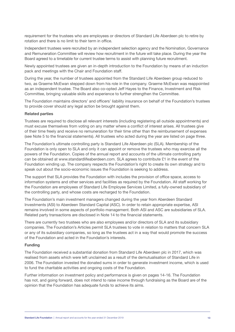requirement for the trustees who are employees or directors of Standard Life Aberdeen plc to retire by rotation and there is no limit to their term in office.

Independent trustees were recruited by an independent selection agency and the Nomination, Governance and Remuneration Committee will review how recruitment in the future will take place. During the year the Board agreed to a timetable for current trustee terms to assist with planning future recruitment.

Newly appointed trustees are given an in-depth introduction to the Foundation by means of an induction pack and meetings with the Chair and Foundation staff.

During the year, the number of trustees appointed from the Standard Life Aberdeen group reduced to two, as Graeme McEwan stepped down from his role in the company. Graeme McEwan was reappointed as an independent trustee. The Board also co-opted Jeff Hayes to the Finance, Investment and Risk Committee, bringing valuable skills and experience to further strengthen the Committee.

The Foundation maintains directors' and officers' liability insurance on behalf of the Foundation's trustees to provide cover should any legal action be brought against them.

#### **Related parties**

Trustees are required to disclose all relevant interests (including registering all outside appointments) and must excuse themselves from voting on any matter where a conflict of interest arises. All trustees give of their time freely and receive no remuneration for their time other than the reimbursement of expenses (see Note 5 to the financial statements). All trustees who acted during the year are listed on page three.

The Foundation's ultimate controlling party is Standard Life Aberdeen plc (SLA). Membership of the Foundation is only open to SLA and only it can appoint or remove the trustees who may exercise all the powers of the Foundation. Copies of the annual report and accounts of the ultimate controlling party can be obtained at www.standardlifeaberdeen.com. SLA agrees to contribute £1 in the event of the Foundation winding up. The company respects the Foundation's right to create its own strategy and to speak out about the socio-economic issues the Foundation is seeking to address.

The support that SLA provides the Foundation with includes the provision of office space, access to information systems and other services and facilities as required by the Foundation. All staff working for the Foundation are employees of Standard Life Employee Services Limited, a fully-owned subsidiary of the controlling party, and whose costs are recharged to the Foundation.

The Foundation's main investment managers changed during the year from Aberdeen Standard Investments (ASI) to Aberdeen Standard Capital (ASC). In order to retain appropriate expertise, ASI remains involved in some aspects of portfolio management. Both ASI and ASC are subsidiaries of SLA. Related party transactions are disclosed in Note 14 to the financial statements.

There are currently two trustees who are also employees and/or directors of SLA and its subsidiary companies. The Foundation's Articles permit SLA trustees to vote in relation to matters that concern SLA or any of its subsidiary companies, so long as the trustees act in a way that would promote the success of the Foundation and acted in the Foundation's interests.

#### **Funding**

The Foundation received a substantial donation from Standard Life Aberdeen plc in 2017, which was realised from assets which were left unclaimed as a result of the demutualisation of Standard Life in 2006. The Foundation invested the donated sums in order to generate investment income, which is used to fund the charitable activities and ongoing costs of the Foundation.

Further information on investment policy and performance is given on pages 14-16. The Foundation has not, and going forward, does not intend to raise income through fundraising as the Board are of the opinion that the Foundation has adequate funds to achieve its aims.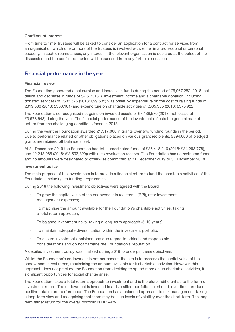#### **Conflicts of Interest**

From time to time, trustees will be asked to consider an application for a contract for services from an organisation which one or more of the trustees is involved with, either in a professional or personal capacity. In such circumstances, any interest in the relevant organisation is declared at the outset of the discussion and the conflicted trustee will be excused from any further discussion.

#### Financial performance in the year

#### **Financial review**

The Foundation generated a net surplus and increase in funds during the period of £6,967,252 (2018: net deficit and decrease in funds of £4,615,131). Investment income and a charitable donation (including donated services) of £683,575 (2018: £99,535) was offset by expenditure on the cost of raising funds of £319,538 (2018: £360,101) and expenditure on charitable activities of £835,355 (2018: £375,922).

The Foundation also recognised net gains on invested assets of £7,438,570 (2018: net losses of £3,978,643) during the year. The financial performance of the investment reflects the general market upturn from the challenging conditions faced in 2018.

During the year the Foundation awarded £1,317,000 in grants over two funding rounds in the period. Due to performance related or other obligations placed on various grant recipients, £894,000 of pledged grants are retained off balance sheet.

At 31 December 2019 the Foundation had total unrestricted funds of £85,418,216 (2018: £84,293,778), and £2,248,985 (2018: (£3,593,829)) within its revaluation reserve. The Foundation has no restricted funds and no amounts were designated or otherwise committed at 31 December 2019 or 31 December 2018.

#### **Investment policy**

The main purpose of the investments is to provide a financial return to fund the charitable activities of the Foundation, including its funding programmes.

During 2018 the following investment objectives were agreed with the Board:

- To grow the capital value of the endowment in real terms (RPI), after investment management expenses;
- To maximise the amount available for the Foundation's charitable activities, taking a total return approach;
- To balance investment risks, taking a long-term approach (5-10 years);
- To maintain adequate diversification within the investment portfolio;
- To ensure investment decisions pay due regard to ethical and responsible considerations and do not damage the Foundation's reputation.

A detailed investment policy was finalised during 2019 to underpin these objectives.

Whilst the Foundation's endowment is not permanent, the aim is to preserve the capital value of the endowment in real terms, maximising the amount available for it charitable activities. However, this approach does not preclude the Foundation from deciding to spend more on its charitable activities, if significant opportunities for social change arise.

The Foundation takes a total return approach to investment and is therefore indifferent as to the form of investment return. The endowment is invested in a diversified portfolio that should, over time, produce a positive total return performance. The Foundation has a balanced approach to risk management, taking a long-term view and recognising that there may be high levels of volatility over the short-term. The long term target return for the overall portfolio is RPI+4%.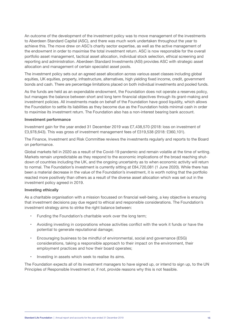An outcome of the development of the investment policy was to move management of the investments to Aberdeen Standard Capital (ASC), and there was much work undertaken throughout the year to achieve this. The move drew on ASC's charity sector expertise, as well as the active management of the endowment in order to maximise the total investment return. ASC is now responsible for the overall portfolio asset management, tactical asset allocation, individual stock selection, ethical screening and reporting and administration. Aberdeen Standard Investments (ASI) provides ASC with strategic asset allocation and management of certain specialist asset pools.

The investment policy sets out an agreed asset allocation across various asset classes including global equities, UK equities, property, infrastructure, alternatives, high yielding fixed income, credit, government bonds and cash. There are percentage limitations placed on both individual investments and pooled funds.

As the funds are held as an expendable endowment, the Foundation does not operate a reserves policy, but manages the balance between short and long term financial objectives through its grant-making and investment policies. All investments made on behalf of the Foundation have good liquidity, which allows the Foundation to settle its liabilities as they become due as the Foundation holds minimal cash in order to maximise its investment return. The Foundation also has a non-interest bearing bank account.

#### **Investment performance**

Investment gain for the year ended 31 December 2019 was £7,438,570 (2018: loss on investment of £3,978,643). This was gross of investment management fees of £319,538 (2018: £360,101).

The Finance, Investment and Risk Committee reviews the investments regularly and reports to the Board on performance.

Global markets fell in 2020 as a result of the Covid-19 pandemic and remain volatile at the time of writing. Markets remain unpredictable as they respond to the economic implications of the broad reaching shutdown of countries including the UK, and the ongoing uncertainty as to when economic activity will return to normal. The Foundation's investment is currently sitting at £84,720,081 (1 June 2020). While there has been a material decrease in the value of the Foundation's investment, it is worth noting that the portfolio reacted more positively than others as a result of the diverse asset allocation which was set out in the investment policy agreed in 2019.

#### **Investing ethically**

As a charitable organisation with a mission focussed on financial well-being, a key objective is ensuring that investment decisions pay due regard to ethical and responsible considerations. The Foundation's investment strategy aims to strike the right balance between:

- Funding the Foundation's charitable work over the long term;
- Avoiding investing in corporations whose activities conflict with the work it funds or have the potential to generate reputational damage;
- Encouraging business to be mindful of environmental, social and governance (ESG) considerations, taking a responsible approach to their impact on the environment, their employment practices and how their board operates;
- Investing in assets which seek to realise its aims.

The Foundation expects all of its investment managers to have signed up, or intend to sign up, to the UN Principles of Responsible Investment or, if not, provide reasons why this is not feasible.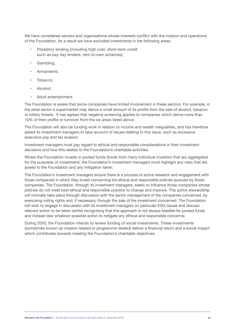We have considered sectors and organisations whose interests conflict with the mission and operations of the Foundation. As a result we have excluded investments in the following areas:

- Predatory lending (including high cost, short-term credit such as pay day lenders, rent-to-own schemes);
- Gambling;
- Armaments:
- Tobacco;
- Alcohol;
- Adult entertainment.

The Foundation is aware that some companies have limited involvement in these sectors. For example, in the retail sector a supermarket may derive a small amount of its profits from the sale of alcohol, tobacco or lottery tickets. It has agreed that negative screening applies to companies which derive more than 10% of their profits or turnover from the six areas listed above.

The Foundation will also be funding work in relation to income and wealth inequalities, and has therefore asked its investment managers to take account of issues relating to this issue, such as excessive executive pay and tax evasion.

Investment managers must pay regard to ethical and responsible considerations in their investment decisions and how this relates to the Foundation's charitable activities.

Where the Foundation invests in pooled funds (funds from many individual investors that are aggregated for the purposes of investment), the Foundation's investment managers must highlight any risks that are posed to the Foundation and any mitigation taken.

The Foundation's investment managers ensure there is a process of active research and engagement with those companies in which they invest concerning the ethical and responsible policies pursued by those companies. The Foundation, through its investment managers, seeks to influence those companies whose policies do not meet best ethical and responsible practice to change and improve. This active stewardship will normally take place through discussion with the senior management of the companies concerned, by exercising voting rights and, if necessary, through the sale of the investment concerned. The Foundation will wish to engage in discussion with its investment managers on particular ESG issues and discuss relevant action to be taken (whilst recognising that this approach is not always feasible for pooled funds and instead take whatever possible action to mitigate any ethical and responsible concerns).

During 2020, the Foundation intends to review funding of social investments. These investments (sometimes known as mission related or programme related) deliver a financial return and a social impact which contributes towards meeting the Foundation's charitable objectives.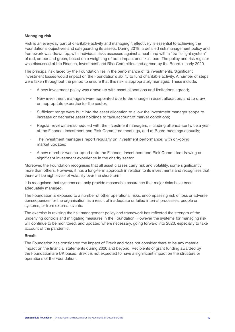#### **Managing risk**

Risk is an everyday part of charitable activity and managing it effectively is essential to achieving the Foundation's objectives and safeguarding its assets. During 2019, a detailed risk management policy and framework was drawn up, with individual risks assessed against a heat map with a "traffic light system" of red, amber and green, based on a weighting of both impact and likelihood. The policy and risk register was discussed at the Finance, Investment and Risk Committee and agreed by the Board in early 2020.

The principal risk faced by the Foundation lies in the performance of its investments. Significant investment losses would impact on the Foundation's ability to fund charitable activity. A number of steps were taken throughout the period to ensure that this risk is appropriately managed. These include:

- A new investment policy was drawn up with asset allocations and limitations agreed;
- New investment managers were appointed due to the change in asset allocation, and to draw on appropriate expertise for the sector;
- Sufficient range were built into the asset allocation to allow the investment manager scope to increase or decrease asset holdings to take account of market conditions;
- Regular reviews are scheduled with the investment managers, including attendance twice a year at the Finance, Investment and Risk Committee meetings, and at Board meetings annually;
- The investment managers report regularly on investment performance, with on-going market updates;
- A new member was co-opted onto the Finance, Investment and Risk Committee drawing on significant investment experience in the charity sector.

Moreover, the Foundation recognises that all asset classes carry risk and volatility, some significantly more than others. However, it has a long-term approach in relation to its investments and recognises that there will be high levels of volatility over the short-term.

It is recognised that systems can only provide reasonable assurance that major risks have been adequately managed.

The Foundation is exposed to a number of other operational risks, encompassing risk of loss or adverse consequences for the organisation as a result of inadequate or failed internal processes, people or systems, or from external events.

The exercise in revising the risk management policy and framework has reflected the strength of the underlying controls and mitigating measures in the Foundation. However the systems for managing risk will continue to be monitored, and updated where necessary, going forward into 2020, especially to take account of the pandemic.

#### **Brexit**

The Foundation has considered the impact of Brexit and does not consider there to be any material impact on the financial statements during 2020 and beyond. Recipients of grant funding awarded by the Foundation are UK based. Brexit is not expected to have a significant impact on the structure or operations of the Foundation.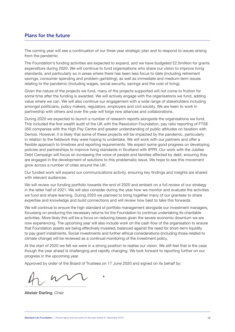### Plans for the future

The coming year will see a continuation of our three year strategic plan and to respond to issues arising from the pandemic.

The Foundation's funding activities are expected to expand, and we have budgeted £2.5million for grants expenditure during 2020. We will continue to fund organisations who share our vision to improve living standards, and particularly so in areas where there has been less focus to date (including retirement savings, consumer spending and problem gambling); as well as immediate and medium-term issues relating to the pandemic (including wages, social security, savings and the cost of living).

Given the nature of the projects we fund, many of the projects supported will not come to fruition for some time after the funding is awarded. We will actively engage with the organisations we fund, adding value where we can. We will also continue our engagement with a wide range of stakeholders including amongst politicians, policy makers, regulators, employers and civil society. We are keen to work in partnership with others and over the year will forge new alliances and collaborations.

During 2020 we expected to launch a number of research reports alongside the organisations we fund. This included the first wealth audit of the UK with the Resolution Foundation, pay ratio reporting of FTSE 350 companies with the High Pay Centre and greater understanding of public attitudes on taxation with Demos. However, it is likely that some of these projects will be impacted by the pandemic, particularly in relation to the fieldwork they were hoping to undertake. We will work with our partners and offer a flexible approach to timelines and reporting requirements. We expect some good progress on developing policies and partnerships to improve living standards in Scotland with IPPR. Our work with the Jubilee Debt Campaign will focus on increasing the voice of people and families affected by debt, ensuring they are engaged in the development of solutions to this problematic issue. We hope to see this movement grow across a number of cities around the UK.

Our funded work will expand our communications activity, ensuring key findings and insights are shared with relevant audiences.

We will review our funding portfolio towards the end of 2020 and embark on a full review of our strategy in the latter half of 2021. We will also consider during the year how we monitor and evaluate the activities we fund and share learning. During 2020 we planned to bring together many of our grantees to share expertise and knowledge and build connections and will review how best to take this forwards.

We will continue to ensure the high standard of portfolio management alongside our investment managers, focussing on producing the necessary returns for the Foundation to continue undertaking its charitable activities. More likely this will be a focus on reducing losses given the severe economic downturn we are now experiencing. The upcoming year will also include work on the cash flow of the organisation to ensure that Foundation assets are being effectively invested, balanced against the need for short-term liquidity to pay grant instalments. Social investments and further ethical considerations (including those related to climate change) will be reviewed as a continual monitoring of the investment policy.

At the start of 2020 we felt we were in a strong position to realise our vision. We still feel that is the case though the year ahead is challenging and rapidly changing. We look forward to reporting further on our progress in the upcoming year.

Approved by order of the Board of Trustees on 17 June 2020 and signed on its behalf by:

………………………………………..

**Alistair Darling**, Chair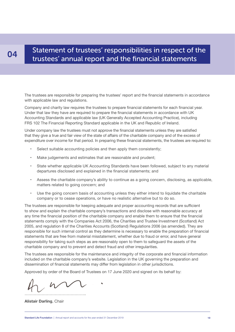### Statement of trustees' responsibilities in respect of the trustees' annual report and the financial statements

The trustees are responsible for preparing the trustees' report and the financial statements in accordance with applicable law and regulations.

Company and charity law requires the trustees to prepare financial statements for each financial year. Under that law they have are required to prepare the financial statements in accordance with UK Accounting Standards and applicable law (UK Generally Accepted Accounting Practice), including FRS 102 The Financial Reporting Standard applicable in the UK and Republic of Ireland.

Under company law the trustees must not approve the financial statements unless they are satisfied that they give a true and fair view of the state of affairs of the charitable company and of the excess of expenditure over income for that period. In preparing these financial statements, the trustees are required to:

- Select suitable accounting policies and then apply them consistently;
- Make judgements and estimates that are reasonable and prudent;
- State whether applicable UK Accounting Standards have been followed, subject to any material departures disclosed and explained in the financial statements; and
- Assess the charitable company's ability to continue as a going concern, disclosing, as applicable, matters related to going concern; and
- Use the going concern basis of accounting unless they either intend to liquidate the charitable company or to cease operations, or have no realistic alternative but to do so.

The trustees are responsible for keeping adequate and proper accounting records that are sufficient to show and explain the charitable company's transactions and disclose with reasonable accuracy at any time the financial position of the charitable company and enable them to ensure that the financial statements comply with the Companies Act 2006, the Charities and Trustee Investment (Scotland) Act 2005, and regulation 8 of the Charities Accounts (Scotland) Regulations 2006 (as amended). They are responsible for such internal control as they determine is necessary to enable the preparation of financial statements that are free from material misstatement, whether due to fraud or error, and have general responsibility for taking such steps as are reasonably open to them to safeguard the assets of the charitable company and to prevent and detect fraud and other irregularities.

The trustees are responsible for the maintenance and integrity of the corporate and financial information included on the charitable company's website. Legislation in the UK governing the preparation and dissemination of financial statements may differ from legislation in other jurisdictions.

Approved by order of the Board of Trustees on 17 June 2020 and signed on its behalf by:

………………………………………..

**Alistair Darling**, Chair

04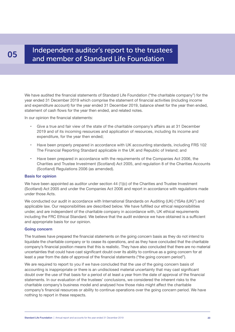### Independent auditor's report to the trustees **05** and member of Standard Life Foundation

We have audited the financial statements of Standard Life Foundation ("the charitable company") for the year ended 31 December 2019 which comprise the statement of financial activities (including income and expenditure account) for the year ended 31 December 2019, balance sheet for the year then ended, statement of cash flows for the year then ended, and related notes.

In our opinion the financial statements:

- Give a true and fair view of the state of the charitable company's affairs as at 31 December 2019 and of its incoming resources and application of resources, including its income and expenditure, for the year then ended;
- Have been properly prepared in accordance with UK accounting standards, including FRS 102 The Financial Reporting Standard applicable in the UK and Republic of Ireland; and
- Have been prepared in accordance with the requirements of the Companies Act 2006, the Charities and Trustee Investment (Scotland) Act 2005, and regulation 8 of the Charities Accounts (Scotland) Regulations 2006 (as amended).

#### **Basis for opinion**

We have been appointed as auditor under section 44 (1)(c) of the Charities and Trustee Investment (Scotland) Act 2005 and under the Companies Act 2006 and report in accordance with regulations made under those Acts.

We conducted our audit in accordance with International Standards on Auditing (UK) ("ISAs (UK)") and applicable law. Our responsibilities are described below. We have fulfilled our ethical responsibilities under, and are independent of the charitable company in accordance with, UK ethical requirements including the FRC Ethical Standard. We believe that the audit evidence we have obtained is a sufficient and appropriate basis for our opinion.

#### **Going concern**

The trustees have prepared the financial statements on the going concern basis as they do not intend to liquidate the charitable company or to cease its operations, and as they have concluded that the charitable company's financial position means that this is realistic. They have also concluded that there are no material uncertainties that could have cast significant doubt over its ability to continue as a going concern for at least a year from the date of approval of the financial statements ("the going concern period").

We are required to report to you if we have concluded that the use of the going concern basis of accounting is inappropriate or there is an undisclosed material uncertainty that may cast significant doubt over the use of that basis for a period of at least a year from the date of approval of the financial statements. In our evaluation of the trustees' conclusions, we considered the inherent risks to the charitable company's business model and analysed how those risks might affect the charitable company's financial resources or ability to continue operations over the going concern period. We have nothing to report in these respects.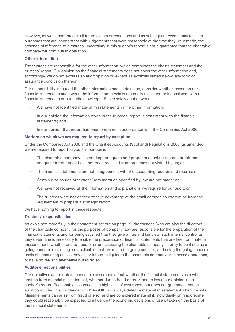However, as we cannot predict all future events or conditions and as subsequent events may result in outcomes that are inconsistent with judgements that were reasonable at the time they were made, the absence of reference to a material uncertainty in this auditor's report is not a guarantee that the charitable company will continue in operation.

#### **Other information**

The trustees are responsible for the other information, which comprises the chair's statement and the trustees' report. Our opinion on the financial statements does not cover the other information and, accordingly, we do not express an audit opinion or, except as explicitly stated below, any form of assurance conclusion thereon.

Our responsibility is to read the other information and, in doing so, consider whether, based on our financial statements audit work, the information therein is materially misstated or inconsistent with the financial statements or our audit knowledge. Based solely on that work:

- We have not identified material misstatements in the other information:
- In our opinion the information given in the trustees' report is consistent with the financial statements; and
- In our opinion that report has been prepared in accordance with the Companies Act 2006.

#### **Matters on which we are required to report by exception**

Under the Companies Act 2006 and the Charities Accounts (Scotland) Regulations 2006 (as amended), we are required to report to you if in our opinion:

- The charitable company has not kept adequate and proper accounting records or returns adequate for our audit have not been received from branches not visited by us; or
- The financial statements are not in agreement with the accounting records and returns; or
- Certain disclosures of trustees' remuneration specified by law are not made; or
- We have not received all the information and explanations we require for our audit; or
- The trustees were not entitled to take advantage of the small companies exemption from the requirement to prepare a strategic report.

We have nothing to report in these respects.

#### **Trustees' responsibilities**

As explained more fully in their statement set out on page 19, the trustees (who are also the directors of the charitable company for the purposes of company law) are responsible for the preparation of the financial statements and for being satisfied that they give a true and fair view; such internal control as they determine is necessary to enable the preparation of financial statements that are free from material misstatement, whether due to fraud or error; assessing the charitable company's ability to continue as a going concern, disclosing, as applicable, matters related to going concern; and using the going concern basis of accounting unless they either intend to liquidate the charitable company or to cease operations, or have no realistic alternative but to do so.

#### **Auditor's responsibilities**

Our objectives are to obtain reasonable assurance about whether the financial statements as a whole are free from material misstatement, whether due to fraud or error, and to issue our opinion in an auditor's report. Reasonable assurance is a high level of assurance, but does not guarantee that an audit conducted in accordance with ISAs (UK) will always detect a material misstatement when it exists. Misstatements can arise from fraud or error and are considered material if, individually or in aggregate, they could reasonably be expected to influence the economic decisions of users taken on the basis of the financial statements.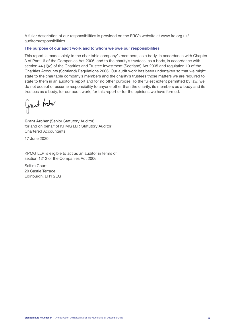A fuller description of our responsibilities is provided on the FRC's website at www.frc.org.uk/ auditorsresponsibilities.

#### **The purpose of our audit work and to whom we owe our responsibilities**

This report is made solely to the charitable company's members, as a body, in accordance with Chapter 3 of Part 16 of the Companies Act 2006, and to the charity's trustees, as a body, in accordance with section 44 (1)(c) of the Charities and Trustee Investment (Scotland) Act 2005 and regulation 10 of the Charities Accounts (Scotland) Regulations 2006. Our audit work has been undertaken so that we might state to the charitable company's members and the charity's trustees those matters we are required to state to them in an auditor's report and for no other purpose. To the fullest extent permitted by law, we do not accept or assume responsibility to anyone other than the charity, its members as a body and its trustees as a body, for our audit work, for this report or for the opinions we have formed.

Grant Archer ………………………………………..

**Grant Archer** (Senior Statutory Auditor) for and on behalf of KPMG LLP, Statutory Auditor Chartered Accountants

17 June 2020

KPMG LLP is eligible to act as an auditor in terms of section 1212 of the Companies Act 2006

Saltire Court 20 Castle Terrace Edinburgh, EH1 2EG

Standard Life Foundation | Annual report and accounts for the year ended 31 December 2019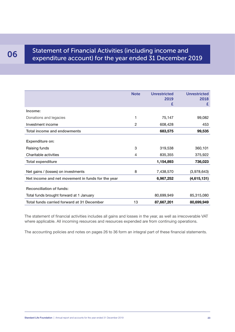### O6 Statement of Financial Activities (including income and expenditure account) for the year ended 31 December 2019

|                                                   | <b>Note</b> | <b>Unrestricted</b><br>2019<br>£ | <b>Unrestricted</b><br>2018<br>£ |
|---------------------------------------------------|-------------|----------------------------------|----------------------------------|
| Income:                                           |             |                                  |                                  |
| Donations and legacies                            | 1           | 75,147                           | 99,082                           |
| Investment income                                 | 2           | 608,428                          | 453                              |
| <b>Total income and endowments</b>                |             | 683,575                          | 99,535                           |
| <b>Expenditure on:</b>                            |             |                                  |                                  |
| Raising funds                                     | 3           | 319,538                          | 360,101                          |
| Charitable activities                             | 4           | 835,355                          | 375,922                          |
| <b>Total expenditure</b>                          |             | 1,154,893                        | 736,023                          |
| Net gains / (losses) on investments               | 8           | 7,438,570                        | (3,978,643)                      |
| Net income and net movement in funds for the year |             | 6,967,252                        | (4,615,131)                      |
| <b>Reconciliation of funds:</b>                   |             |                                  |                                  |
| Total funds brought forward at 1 January          |             | 80,699,949                       | 85,315,080                       |
| <b>Total funds carried forward at 31 December</b> | 13          | 87,667,201                       | 80,699,949                       |

The statement of financial activities includes all gains and losses in the year, as well as irrecoverable VAT where applicable. All incoming resources and resources expended are from continuing operations.

The accounting policies and notes on pages 26 to 36 form an integral part of these financial statements.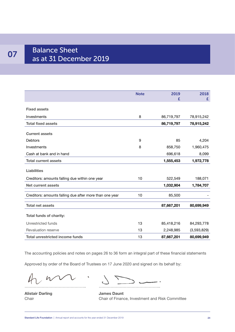## 07 Balance Sheet as at 31 December 2019

|                                                         | <b>Note</b> | 2019       | 2018        |
|---------------------------------------------------------|-------------|------------|-------------|
|                                                         |             | £          | £           |
|                                                         |             |            |             |
| <b>Fixed assets</b>                                     |             |            |             |
| Investments                                             | 8           | 86,719,797 | 78,915,242  |
| <b>Total fixed assets</b>                               |             | 86,719,797 | 78,915,242  |
|                                                         |             |            |             |
| <b>Current assets</b>                                   |             |            |             |
| Debtors                                                 | 9           | 85         | 4,204       |
| Investments                                             | 8           | 858,750    | 1,960,475   |
| Cash at bank and in hand                                |             | 696,618    | 8,099       |
| <b>Total current assets</b>                             |             | 1,555,453  | 1,972,778   |
|                                                         |             |            |             |
| <b>Liabilities</b>                                      |             |            |             |
| Creditors: amounts falling due within one year          | 10          | 522,549    | 188,071     |
| <b>Net current assets</b>                               |             | 1,032,904  | 1,784,707   |
|                                                         |             |            |             |
| Creditors: amounts falling due after more than one year | 10          | 85,500     |             |
| <b>Total net assets</b>                                 |             | 87,667,201 | 80,699,949  |
|                                                         |             |            |             |
| <b>Total funds of charity:</b>                          |             |            |             |
| Unrestricted funds                                      | 13          | 85,418,216 | 84,293,778  |
| Revaluation reserve                                     | 13          | 2,248,985  | (3,593,829) |
| <b>Total unrestricted income funds</b>                  | 13          | 87,667,201 | 80,699,949  |

The accounting policies and notes on pages 26 to 36 form an integral part of these financial statements

Approved by order of the Board of Trustees on 17 June 2020 and signed on its behalf by:

V

 $\sum$ ……………………………………….. ………………………………………..

**Alistair Darling James Daunt**  Chair Chair of Finance, Investment and Risk Committee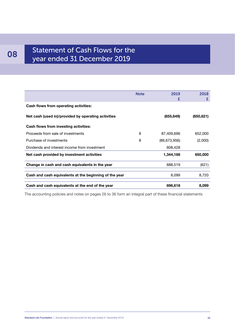# **08** Statement of Cash Flows for the year ended 31 December 2019

|                                                        | <b>Note</b> | 2019<br>£      | 2018<br>£  |
|--------------------------------------------------------|-------------|----------------|------------|
| Cash flows from operating activities:                  |             |                |            |
| Net cash (used in)/provided by operating activities    |             | (655, 649)     | (650, 621) |
| Cash flows from investing activities:                  |             |                |            |
| Proceeds from sale of investments                      | 8           | 87,409,696     | 652,000    |
| Purchase of investments                                | 8           | (86, 673, 956) | (2,000)    |
| Dividends and interest income from investment          |             | 608,428        |            |
| Net cash provided by investment activities             |             | 1,344,168      | 650,000    |
| Change in cash and cash equivalents in the year        |             | 688,519        | (621)      |
| Cash and cash equivalents at the beginning of the year |             | 8,099          | 8,720      |
| Cash and cash equivalents at the end of the year       |             | 696,618        | 8,099      |

The accounting policies and notes on pages 26 to 36 form an integral part of these financial statements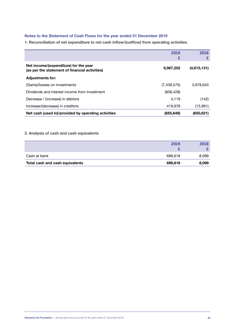#### **Notes to the Statement of Cash Flows for the year ended 31 December 2019**

**1. Reconciliation of net expenditure to net cash inflow/(outflow) from operating activities**

|                                                                                         | 2019<br>£   | 2018        |
|-----------------------------------------------------------------------------------------|-------------|-------------|
| Net income/(expenditure) for the year<br>(as per the statement of financial activities) | 6,967,252   | (4,615,131) |
| <b>Adjustments for:</b>                                                                 |             |             |
| (Gains)/losses on investments                                                           | (7,438,570) | 3,978,643   |
| Dividends and interest income from investment                                           | (608, 428)  |             |
| Decrease / (increase) in debtors                                                        | 4,119       | (142)       |
| Increase/(decrease) in creditors                                                        | 419.978     | (13,991)    |
| Net cash (used in)/provided by operating activities                                     | (655, 649)  | (650, 621)  |

#### **2. Analysis of cash and cash equivalents**

| Total cash and cash equivalents | 696,618 | 8,099 |
|---------------------------------|---------|-------|
| Cash at bank                    | 696,618 | 8,099 |
|                                 |         |       |
|                                 | 2019    | 2018  |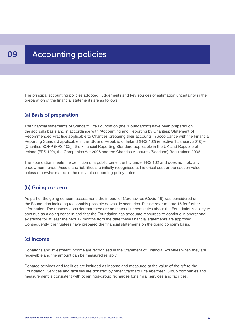#### 09 Accounting policies

The principal accounting policies adopted, judgements and key sources of estimation uncertainty in the preparation of the financial statements are as follows:

#### (a) Basis of preparation

The financial statements of Standard Life Foundation (the "Foundation") have been prepared on the accruals basis and in accordance with 'Accounting and Reporting by Charities: Statement of Recommended Practice applicable to Charities preparing their accounts in accordance with the Financial Reporting Standard applicable in the UK and Republic of Ireland (FRS 102) (effective 1 January 2016) – (Charities SORP (FRS 102)), the Financial Reporting Standard applicable in the UK and Republic of Ireland (FRS 102), the Companies Act 2006 and the Charities Accounts (Scotland) Regulations 2006.

The Foundation meets the definition of a public benefit entity under FRS 102 and does not hold any endowment funds. Assets and liabilities are initially recognised at historical cost or transaction value unless otherwise stated in the relevant accounting policy notes.

#### (b) Going concern

As part of the going concern assessment, the impact of Coronavirus (Covid-19) was considered on the Foundation including reasonably possible downside scenarios. Please refer to note 15 for further information. The trustees consider that there are no material uncertainties about the Foundation's ability to continue as a going concern and that the Foundation has adequate resources to continue in operational existence for at least the next 12 months from the date these financial statements are approved. Consequently, the trustees have prepared the financial statements on the going concern basis.

#### (c) Income

Donations and investment income are recognised in the Statement of Financial Activities when they are receivable and the amount can be measured reliably.

Donated services and facilities are included as income and measured at the value of the gift to the Foundation. Services and facilities are donated by other Standard Life Aberdeen Group companies and measurement is consistent with other intra-group recharges for similar services and facilities.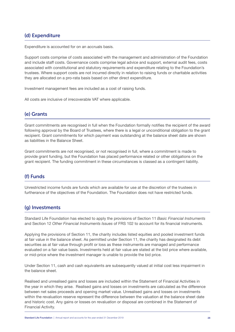### (d) Expenditure

Expenditure is accounted for on an accruals basis.

Support costs comprise of costs associated with the management and administration of the Foundation and include staff costs. Governance costs comprise legal advice and support, external audit fees, costs associated with constitutional and statutory requirements and expenditure relating to the Foundation's trustees. Where support costs are not incurred directly in relation to raising funds or charitable activities they are allocated on a pro-rata basis based on other direct expenditure.

Investment management fees are included as a cost of raising funds.

All costs are inclusive of irrecoverable VAT where applicable.

### (e) Grants

Grant commitments are recognised in full when the Foundation formally notifies the recipient of the award following approval by the Board of Trustees, where there is a legal or unconditional obligation to the grant recipient. Grant commitments for which payment was outstanding at the balance sheet date are shown as liabilities in the Balance Sheet.

Grant commitments are not recognised, or not recognised in full, where a commitment is made to provide grant funding, but the Foundation has placed performance related or other obligations on the grant recipient. The funding commitment in these circumstances is classed as a contingent liability.

### (f) Funds

Unrestricted income funds are funds which are available for use at the discretion of the trustees in furtherance of the objectives of the Foundation. The Foundation does not have restricted funds.

#### (g) Investments

Standard Life Foundation has elected to apply the provisions of Section 11 *Basic Financial Instruments* and Section 12 *Other Financial Instruments Issues* of FRS 102 to account for its financial instruments.

Applying the provisions of Section 11, the charity includes listed equities and pooled investment funds at fair value in the balance sheet. As permitted under Section 11, the charity has designated its debt securities as at fair value through profit or loss as these instruments are managed and performance evaluated on a fair value basis. Investments held at fair value are stated at the bid price where available, or mid-price where the investment manager is unable to provide the bid price.

Under Section 11, cash and cash equivalents are subsequently valued at initial cost less impairment in the balance sheet.

Realised and unrealised gains and losses are included within the Statement of Financial Activities in the year in which they arise. Realised gains and losses on investments are calculated as the difference between net sales proceeds and opening market value. Unrealised gains and losses on investments within the revaluation reserve represent the difference between the valuation at the balance sheet date and historic cost. Any gains or losses on revaluation or disposal are combined in the Statement of Financial Activity.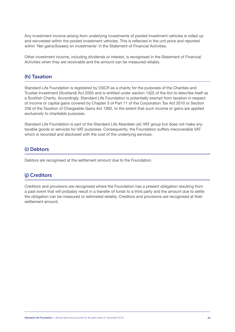Any investment income arising from underlying investments of pooled investment vehicles is rolled up and reinvested within the pooled investment vehicles. This is reflected in the unit price and reported within 'Net gains/(losses) on investments' in the Statement of Financial Activities.

Other investment income, including dividends or interest, is recognised in the Statement of Financial Activities when they are receivable and the amount can be measured reliably.

### (h) Taxation

Standard Life Foundation is registered by OSCR as a charity for the purposes of the Charities and Trustee Investment (Scotland) Act 2005 and is entitled under section 13(2) of the Act to describe itself as a Scottish Charity. Accordingly, Standard Life Foundation is potentially exempt from taxation in respect of income or capital gains covered by Chapter 3 of Part 11 of the Corporation Tax Act 2010 or Section 256 of the Taxation of Chargeable Gains Act 1992, to the extent that such income or gains are applied exclusively to charitable purposes.

Standard Life Foundation is part of the Standard Life Aberdeen plc VAT group but does not make any taxable goods or services for VAT purposes. Consequently, the Foundation suffers irrecoverable VAT which is recorded and disclosed with the cost of the underlying services.

#### (i) Debtors

Debtors are recognised at the settlement amount due to the Foundation.

#### (j) Creditors

Creditors and provisions are recognised where the Foundation has a present obligation resulting from a past event that will probably result in a transfer of funds to a third party and the amount due to settle the obligation can be measured or estimated reliably. Creditors and provisions are recognised at their settlement amount.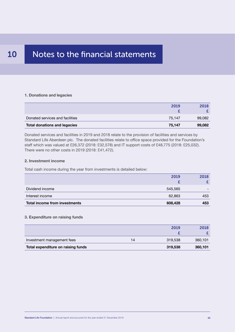#### 10 Notes to the financial statements

#### **1. Donations and legacies**

| <b>Total donations and legacies</b> | 75,147 | 99,082 |
|-------------------------------------|--------|--------|
| Donated services and facilities     | 75.147 | 99,082 |
|                                     |        |        |
|                                     | 2019   | 2018   |

Donated services and facilities in 2019 and 2018 relate to the provision of facilities and services by Standard Life Aberdeen plc. The donated facilities relate to office space provided for the Foundation's staff which was valued at £26,372 (2018: £32,578) and IT support costs of £48,775 (2018: £25,032). There were no other costs in 2019 (2018: £41,472).

#### **2. Investment income**

Total cash income during the year from investments is detailed below:

|                                      | 2019    | 2018 |
|--------------------------------------|---------|------|
|                                      |         |      |
| Dividend income                      | 545,565 |      |
| Interest income                      | 62,863  | 453  |
| <b>Total income from investments</b> | 608,428 | 453  |

#### **3. Expenditure on raising funds**

|                                    |    | 2019    | 2018    |
|------------------------------------|----|---------|---------|
|                                    |    |         |         |
| Investment management fees         | 14 | 319,538 | 360,101 |
| Total expenditure on raising funds |    | 319,538 | 360,101 |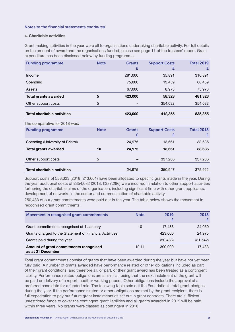#### **4. Charitable activities**

Grant making activities in the year were all to organisations undertaking charitable activity. For full details on the amount of award and the organisations funded, please see page 11 of the trustees' report. Grant expenditure has been disclosed below by funding programme.

| <b>Funding programme</b>           | <b>Note</b> | <b>Grants</b><br>£ | <b>Support Costs</b><br>£ | <b>Total 2019</b><br>£ |
|------------------------------------|-------------|--------------------|---------------------------|------------------------|
| Income                             |             | 281,000            | 35,891                    | 316,891                |
| Spending                           |             | 75,000             | 13,459                    | 88,459                 |
| Assets                             |             | 67,000             | 8,973                     | 75,973                 |
| <b>Total grants awarded</b>        | 5           | 423,000            | 58,323                    | 481,323                |
| Other support costs                | 5           |                    | 354,032                   | 354,032                |
| <b>Total charitable activities</b> |             | 423,000            | 412,355                   | 835,355                |
| The comparative for 2018 was:      |             |                    |                           |                        |
| <b>Funding programme</b>           | <b>Note</b> | <b>Grants</b><br>£ | <b>Support Costs</b><br>£ | <b>Total 2018</b><br>£ |
| Spending (University of Bristol)   |             | 24,975             | 13,661                    | 38,636                 |
| <b>Total grants awarded</b>        | 10          | 24,975             | 13,661                    | 38,636                 |
| Other support costs                | 5           |                    | 337,286                   | 337,286                |
| <b>Total charitable activities</b> |             | 24,975             | 350,947                   | 375,922                |

Support costs of £58,323 (2018: £13,661) have been allocated to specific grants made in the year. During the year additional costs of £354,032 (2018: £337,286) were incurred in relation to other support activities furthering the charitable aims of the organisation, including significant time with other grant applicants; development of networks in the sector and communication of charitable activity.

£50,483 of our grant commitments were paid out in the year. The table below shows the movement in recognised grant commitments.

| Movement in recognised grant commitments                    | <b>Note</b> | 2019      | 2018      |
|-------------------------------------------------------------|-------------|-----------|-----------|
| Grant commitments recognised at 1 January                   | 10          | 17.483    | 24,050    |
| Grants charged to the Statement of Financial Activities     |             | 423,000   | 24,975    |
| Grants paid during the year                                 |             | (50, 483) | (31, 542) |
| Amount of grant commitments recognised<br>as at 31 December | 10,11       | 390,000   | 17,483    |

Total grant commitments consist of grants that have been awarded during the year but have not yet been fully paid. A number of grants awarded have performance related or other obligations included as part of their grant conditions, and therefore all, or part, of their grant award has been treated as a contingent liability. Performance related obligations are all similar, being that the next instalment of the grant will be paid on delivery of a report, audit or working papers. Other obligations include the approval of a preferred candidate for a funded role. The following table sets out the Foundation's total grant pledges during the year. If the performance related or other obligations are met by the grant recipient, there is full expectation to pay out future grant instalments as set out in grant contracts. There are sufficient unrestricted funds to cover the contingent grant liabilities and all grants awarded in 2019 will be paid within three years. No grants were classed as contingent in 2018.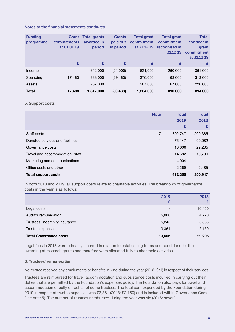| <b>Funding</b> | Grant       | Total grants | <b>Grants</b>            | <b>Total grant</b> | <b>Total grant</b> | <b>Total</b> |
|----------------|-------------|--------------|--------------------------|--------------------|--------------------|--------------|
| programme      | commitments | awarded in   | paid out                 | commitment         | commitment         | contingent   |
|                | at 01.01.19 | period       | in period                | at 31.12.19        | recognised at      | grant        |
|                |             |              |                          |                    | 31.12.19           | commitment   |
|                |             |              |                          |                    |                    | at 31.12.19  |
|                | £           | £            | £                        | £                  | £                  | £            |
| Income         |             | 642,000      | (21,000)                 | 621,000            | 260,000            | 361,000      |
| Spending       | 17,483      | 388,000      | (29, 483)                | 376,000            | 63,000             | 313,000      |
| Assets         |             | 287,000      | $\overline{\phantom{a}}$ | 287,000            | 67,000             | 220,000      |
| <b>Total</b>   | 17,483      | 1,317,000    | (50, 483)                | 1,284,000          | 390,000            | 894,000      |

#### **5. Support costs**

|                                 | <b>Note</b> | <b>Total</b> | <b>Total</b> |
|---------------------------------|-------------|--------------|--------------|
|                                 |             | 2019         | 2018         |
|                                 |             | £            | £            |
| Staff costs                     | 7           | 302,747      | 209,385      |
| Donated services and facilities | 1           | 75,147       | 99,082       |
| Governance costs                |             | 13,606       | 29,205       |
| Travel and accommodation-staff  |             | 14,582       | 10,790       |
| Marketing and communications    |             | 4,004        |              |
| Office costs and other          |             | 2,269        | 2,485        |
| <b>Total support costs</b>      |             | 412,355      | 350.947      |

In both 2018 and 2019, all support costs relate to charitable activities. The breakdown of governance costs in the year is as follows:

| <b>Total Governance costs</b> | 13,606                   | 29,205 |
|-------------------------------|--------------------------|--------|
| Trustee expenses              | 3,361                    | 2,150  |
| Trustees' indemnity insurance | 5,245                    | 5,885  |
| Auditor remuneration          | 5,000                    | 4,720  |
| Legal costs                   | $\overline{\phantom{a}}$ | 16,450 |
|                               |                          |        |
|                               | 2019                     | 2018   |

Legal fees in 2018 were primarily incurred in relation to establishing terms and conditions for the awarding of research grants and therefore were allocated fully to charitable activities.

#### **6. Trustees' remuneration**

No trustee received any emoluments or benefits in kind during the year (2018: £nil) in respect of their services.

Trustees are reimbursed for travel, accommodation and subsistence costs incurred in carrying out their duties that are permitted by the Foundation's expenses policy. The Foundation also pays for travel and accommodation directly on behalf of some trustees. The total sum expended by the Foundation during 2019 in respect of trustee expenses was £3,361 (2018: £2,150) and is included within Governance Costs (see note 5). The number of trustees reimbursed during the year was six (2018: seven).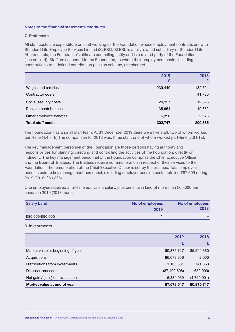#### **7. Staff costs**

All staff costs are expenditure on staff working for the Foundation whose employment contracts are with Standard Life Employee Services Limited (SLESL). SLESL is a fully-owned subsidiary of Standard Life Aberdeen plc, the Foundation's ultimate controlling entity and is a related party of the Foundation (see note 14). Staff are seconded to the Foundation, to whom their employment costs, including contributions to a defined contribution pension scheme, are charged.

|                          | 2019<br>£ | 2018<br>£ |
|--------------------------|-----------|-----------|
| Wages and salaries       | 239,440   | 132,724   |
| Contractor costs         | -         | 41,730    |
| Social security costs    | 20,957    | 12,626    |
| Pension contributions    | 35,954    | 19,632    |
| Other employee benefits  | 6,396     | 2,673     |
| <b>Total staff costs</b> | 302,747   | 209,385   |

The Foundation has a small staff team. At 31 December 2019 there were five staff, two of whom worked part-time (4.4 FTE). The comparison for 2018 was: three staff, one of whom worked part-time (2.6 FTE).

The key management personnel of the Foundation are those persons having authority and responsibilities for planning, directing and controlling the activities of the Foundation; directly or indirectly. The key management personnel of the Foundation comprise the Chief Executive Officer and the Board of Trustees. The trustees receive no remuneration in respect of their services to the Foundation. The remuneration of the Chief Executive Officer is set by the trustees. Total employee benefits paid to key management personnel, excluding employer pension costs, totalled £87,609 during 2019 (2018: £60,376).

One employee received a full-time equivalent salary, plus benefits in kind of more than £60,000 per annum in 2019 (2018: none).

| <b>Salary band</b> | No of employees<br>2019 | No of employees<br>2018 |
|--------------------|-------------------------|-------------------------|
| £80,000-£90,000    |                         | -                       |

#### **8. Investments**

| Market value at end of year       | 87,578,547     | 80,875,717  |
|-----------------------------------|----------------|-------------|
| Net gain / (loss) on revaluation  | 6,334,939      | (4,720,001) |
| Disposal proceeds                 | (87, 409, 696) | (652,000)   |
| Distributions from investments    | 1,103,631      | 741,358     |
| Acquisitions                      | 86,673,956     | 2,000       |
| Market value at beginning of year | 80,875,717     | 85,504,360  |
|                                   | £              |             |
|                                   | 2019           | 2018        |
|                                   |                |             |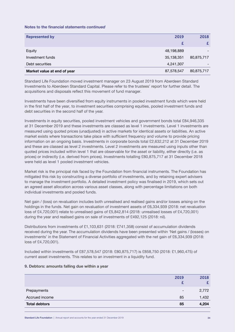| <b>Represented by</b>       | 2019       | 2018       |
|-----------------------------|------------|------------|
|                             |            |            |
| Equity                      | 48,198,889 |            |
| Investment funds            | 35,138,351 | 80,875,717 |
| Debt securities             | 4,241,307  |            |
| Market value at end of year | 87,578,547 | 80,875,717 |

Standard Life Foundation moved investment manager on 23 August 2019 from Aberdeen Standard Investments to Aberdeen Standard Capital. Please refer to the trustees' report for further detail. The acquisitions and disposals reflect this movement of fund manager.

Investments have been diversified from equity instruments in pooled investment funds which were held in the first half of the year, to investment securities comprising equities, pooled investment funds and debt securities in the second half of the year.

Investments in equity securities, pooled investment vehicles and government bonds total £84,946,335 at 31 December 2019 and these investments are classed as level 1 investments. Level 1 investments are measured using quoted prices (unadjusted) in active markets for identical assets or liabilities. An active market exists where transactions take place with sufficient frequency and volume to provide pricing information on an ongoing basis. Investments in corporate bonds total £2,632,212 at 31 December 2019 and these are classed as level 2 investments. Level 2 investments are measured using inputs other than quoted prices included within level 1 that are observable for the asset or liability, either directly (i.e. as prices) or indirectly (i.e. derived from prices). Investments totalling £80,875,717 at 31 December 2018 were held as level 1 pooled investment vehicles.

Market risk is the principal risk faced by the Foundation from financial instruments. The Foundation has mitigated this risk by constructing a diverse portfolio of investments, and by retaining expert advisers to manage the investment portfolio. A detailed investment policy was finalised in 2019, which sets out an agreed asset allocation across various asset classes, along with percentage limitations on both individual investments and pooled funds.

Net gain / (loss) on revaluation includes both unrealised and realised gains and/or losses arising on the holdings in the funds. Net gain on revaluation of investment assets of £6,334,939 (2018: net revaluation loss of £4,720,001) relate to unrealised gains of £5,842,814 (2018: unrealised losses of £4,720,001) during the year and realised gains on sale of investments of £492,125 (2018: nil).

Distributions from investments of £1,103,631 (2018: £741,358) consist of accumulation dividends received during the year. The accumulation dividends have been presented within 'Net gains / (losses) on investments' in the Statement of Financial Activities aggregated with the net gain of £6,334,939 (2018: loss of £4,720,001).

Included within investments of £87,578,547 (2018: £80,875,717) is £858,750 (2018: £1,960,475) of current asset investments. This relates to an investment in a liquidity fund.

#### **9. Debtors: amounts falling due within a year**

| <b>Total debtors</b><br>85              | 4,204 |
|-----------------------------------------|-------|
| Accrued income<br>85                    | 1,432 |
| Prepayments<br>$\overline{\phantom{a}}$ | 2,772 |
| 2019                                    | 2018  |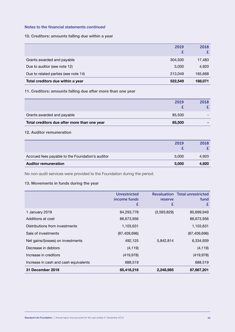#### **10. Creditors: amounts falling due within a year**

| Grants awarded and payable           | 304,500 | 17,483  |
|--------------------------------------|---------|---------|
| Due to auditor (see note 12)         | 5,000   | 4,920   |
| Due to related parties (see note 14) | 213,049 | 165,668 |
| Total creditors due within a year    | 522,549 | 188,071 |

#### **11. Creditors: amounts falling due after more than one year**

|                                              | 2019   | 2018 |
|----------------------------------------------|--------|------|
| Grants awarded and payable                   | 85,500 |      |
| Total creditors due after more than one year | 85,500 |      |

#### **12. Auditor remuneration**

| <b>Auditor remuneration</b>                      | 5,000 | 4,920 |
|--------------------------------------------------|-------|-------|
| Accrued fees payable to the Foundation's auditor | 5,000 | 4,920 |
|                                                  | 2019  | 2018  |

No non-audit services were provided to the Foundation during the period.

#### **13. Movements in funds during the year**

|                                       | <b>Unrestricted</b><br>income funds<br>£ | reserve<br>£ | <b>Revaluation Total unrestricted</b><br>fund<br>£ |
|---------------------------------------|------------------------------------------|--------------|----------------------------------------------------|
| 1 January 2019                        | 84,293,778                               | (3,593,829)  | 80,699,949                                         |
| Additions at cost                     | 86,673,956                               |              | 86,673,956                                         |
| Distributions from investments        | 1,103,631                                |              | 1,103,631                                          |
| Sale of investments                   | (87, 409, 696)                           |              | (87, 409, 696)                                     |
| Net gains/(losses) on investments     | 492,125                                  | 5,842,814    | 6,334,939                                          |
| Decrease in debtors                   | (4, 119)                                 |              | (4, 119)                                           |
| Increase in creditors                 | (419, 978)                               |              | (419, 978)                                         |
| Increase in cash and cash equivalents | 688,519                                  |              | 688,519                                            |
| December 2019<br>31.                  | 85,418,216                               | 2,248,985    | 87,667,201                                         |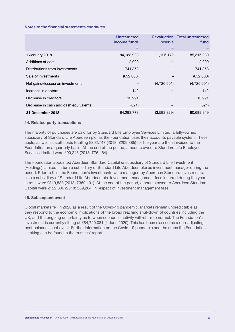|                                       | <b>Unrestricted</b><br>income funds<br>£ | reserve<br>£ | <b>Revaluation Total unrestricted</b><br>fund<br>£ |
|---------------------------------------|------------------------------------------|--------------|----------------------------------------------------|
| 1 January 2018                        | 84,188,908                               | 1,126,172    | 85,315,080                                         |
| Additions at cost                     | 2,000                                    |              | 2,000                                              |
| Distributions from investments        | 741,358                                  |              | 741,358                                            |
| Sale of investments                   | (652,000)                                |              | (652,000)                                          |
| Net gains/(losses) on investments     |                                          | (4,720,001)  | (4,720,001)                                        |
| Increase in debtors                   | 142                                      |              | 142                                                |
| Decrease in creditors                 | 13,991                                   |              | 13,991                                             |
| Decrease in cash and cash equivalents | (621)                                    |              | (621)                                              |
| 31 December 2018                      | 84,293,778                               | (3,593,829)  | 80,699,949                                         |

#### **14. Related party transactions**

The majority of purchases are paid for by Standard Life Employee Services Limited, a fully-owned subsidiary of Standard Life Aberdeen plc, as the Foundation uses their accounts payable system. These costs, as well as staff costs totalling £302,747 (2018: £209,385) for the year are then invoiced to the Foundation on a quarterly basis. At the end of the period, amounts owed to Standard Life Employee Services Limited were £90,243 (2018: £76,464).

The Foundation appointed Aberdeen Standard Capital (a subsidiary of Standard Life Investment (Holdings) Limited; in turn a subsidiary of Standard Life Aberdeen plc) as investment manager during the period. Prior to this, the Foundation's investments were managed by Aberdeen Standard Investments; also a subsidiary of Standard Life Aberdeen plc. Investment management fees incurred during the year in total were £319,538 (2018: £360,101). At the end of the period, amounts owed to Aberdeen Standard Capital were £122,806 (2018: £89,204) in respect of investment management fees.

#### **15. Subsequent event**

Global markets fell in 2020 as a result of the Covid-19 pandemic. Markets remain unpredictable as they respond to the economic implications of the broad reaching shut-down of countries including the UK, and the ongoing uncertainty as to when economic activity will return to normal. The Foundation's investment is currently sitting at £84,720,081 (1 June 2020). This has been classed as a non-adjusting post balance sheet event. Further information on the Covid-19 pandemic and the steps the Foundation is taking can be found in the trustees' report.